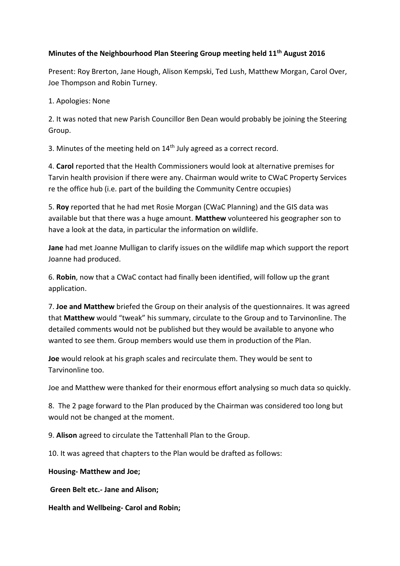## **Minutes of the Neighbourhood Plan Steering Group meeting held 11th August 2016**

Present: Roy Brerton, Jane Hough, Alison Kempski, Ted Lush, Matthew Morgan, Carol Over, Joe Thompson and Robin Turney.

1. Apologies: None

2. It was noted that new Parish Councillor Ben Dean would probably be joining the Steering Group.

3. Minutes of the meeting held on 14<sup>th</sup> July agreed as a correct record.

4. **Carol** reported that the Health Commissioners would look at alternative premises for Tarvin health provision if there were any. Chairman would write to CWaC Property Services re the office hub (i.e. part of the building the Community Centre occupies)

5. **Roy** reported that he had met Rosie Morgan (CWaC Planning) and the GIS data was available but that there was a huge amount. **Matthew** volunteered his geographer son to have a look at the data, in particular the information on wildlife.

**Jane** had met Joanne Mulligan to clarify issues on the wildlife map which support the report Joanne had produced.

6. **Robin**, now that a CWaC contact had finally been identified, will follow up the grant application.

7. **Joe and Matthew** briefed the Group on their analysis of the questionnaires. It was agreed that **Matthew** would "tweak" his summary, circulate to the Group and to Tarvinonline. The detailed comments would not be published but they would be available to anyone who wanted to see them. Group members would use them in production of the Plan.

**Joe** would relook at his graph scales and recirculate them. They would be sent to Tarvinonline too.

Joe and Matthew were thanked for their enormous effort analysing so much data so quickly.

8. The 2 page forward to the Plan produced by the Chairman was considered too long but would not be changed at the moment.

9. **Alison** agreed to circulate the Tattenhall Plan to the Group.

10. It was agreed that chapters to the Plan would be drafted as follows:

**Housing- Matthew and Joe;**

**Green Belt etc.- Jane and Alison;** 

**Health and Wellbeing- Carol and Robin;**